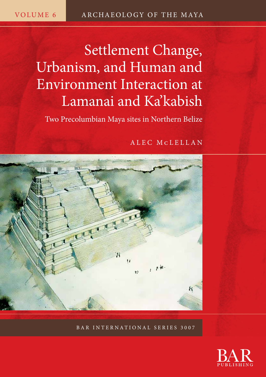# Settlement Change, Urbanism, and Human and Environment Interaction at Lamanai and Ka'kabish

Two Precolumbian Maya sites in Northern Belize

# ALEC M C L E L L A N



BAR INTERNATIONAL SERIES 3007

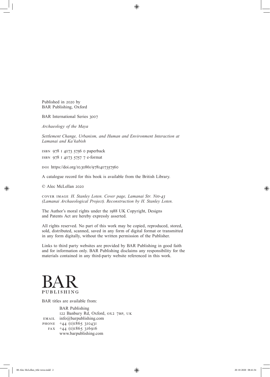Published in 2020 by BAR Publishing, Oxford

BAR International Series 3007

*Archaeology of the Maya*

*Settlement Change, Urbanism, and Human and Environment Interaction at Lamanai and Ka'kabish*

⊕

ISBN 978 1 4073 5756 0 paperback ISBN 978 1 4073 5757 7 e-format

DOI https://doi.org/10.30861/9781407357560

A catalogue record for this book is available from the British Library.

© Alec McLellan 2020

◈

Cover image *H. Stanley Loten. Cover page, Lamanai Str. N10-43 (Lamanai Archaeological Project). Reconstruction by H. Stanley Loten.* 

The Author's moral rights under the 1988 UK Copyright, Designs and Patents Act are hereby expressly asserted.

All rights reserved. No part of this work may be copied, reproduced, stored, sold, distributed, scanned, saved in any form of digital format or transmitted in any form digitally, without the written permission of the Publisher.

Links to third party websites are provided by BAR Publishing in good faith and for information only. BAR Publishing disclaims any responsibility for the materials contained in any third-party website referenced in this work.



BAR titles are available from:

 BAR Publishing 122 Banbury Rd, Oxford, ox2 7bp, uk EMAIL info@barpublishing.com PHONE +44 (0)1865 310431 Fax +44 (0)1865 316916 www.barpublishing.com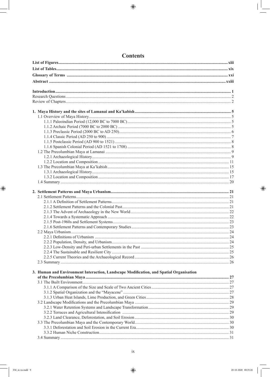# **Contents**

 $\bigoplus$ 

| 3. Human and Environment Interaction, Landscape Modification, and Spatial Organisation |  |
|----------------------------------------------------------------------------------------|--|
|                                                                                        |  |
|                                                                                        |  |
|                                                                                        |  |
|                                                                                        |  |
|                                                                                        |  |
|                                                                                        |  |
|                                                                                        |  |
|                                                                                        |  |
|                                                                                        |  |
|                                                                                        |  |
|                                                                                        |  |
|                                                                                        |  |
|                                                                                        |  |

 $\bigoplus$ 

 $\bigoplus$ 

20-10-2020 08:35:26

 $\bigoplus$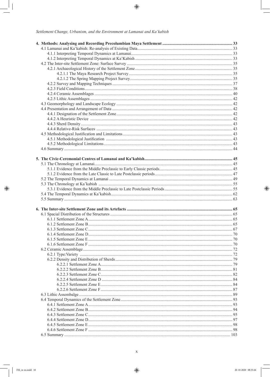$\bigoplus$ 

Settlement Change, Urbanism, and the Environment at Lamanai and Ka'kabish

 $\bigcirc \hspace{-3.0pt} \bigcirc$ 

 $20-10-2020$   $08:35:26$ 

 $\bigoplus$ 

 $\mathbf X$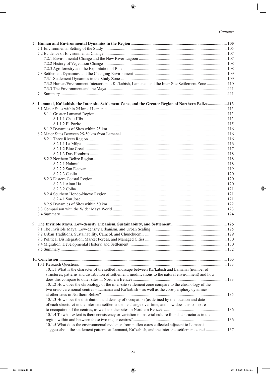$\bigoplus$ 

### Contents

| 7.3.2 Human/Environment Interaction at Ka'kabish, Lamanai, and the Inter-Site Settlement Zone  110                                                                                                       |  |
|----------------------------------------------------------------------------------------------------------------------------------------------------------------------------------------------------------|--|
|                                                                                                                                                                                                          |  |
|                                                                                                                                                                                                          |  |
| 8. Lamanai, Ka'kabish, the Inter-site Settlement Zone, and the Greater Region of Northern Belize113                                                                                                      |  |
|                                                                                                                                                                                                          |  |
|                                                                                                                                                                                                          |  |
|                                                                                                                                                                                                          |  |
|                                                                                                                                                                                                          |  |
|                                                                                                                                                                                                          |  |
|                                                                                                                                                                                                          |  |
|                                                                                                                                                                                                          |  |
|                                                                                                                                                                                                          |  |
|                                                                                                                                                                                                          |  |
|                                                                                                                                                                                                          |  |
|                                                                                                                                                                                                          |  |
|                                                                                                                                                                                                          |  |
|                                                                                                                                                                                                          |  |
|                                                                                                                                                                                                          |  |
|                                                                                                                                                                                                          |  |
|                                                                                                                                                                                                          |  |
|                                                                                                                                                                                                          |  |
|                                                                                                                                                                                                          |  |
|                                                                                                                                                                                                          |  |
|                                                                                                                                                                                                          |  |
|                                                                                                                                                                                                          |  |
|                                                                                                                                                                                                          |  |
|                                                                                                                                                                                                          |  |
|                                                                                                                                                                                                          |  |
|                                                                                                                                                                                                          |  |
|                                                                                                                                                                                                          |  |
|                                                                                                                                                                                                          |  |
|                                                                                                                                                                                                          |  |
|                                                                                                                                                                                                          |  |
|                                                                                                                                                                                                          |  |
|                                                                                                                                                                                                          |  |
| 10.1.1 What is the character of the settled landscape between Ka'kabish and Lamanai (number of<br>structures; patterns and distribution of settlement; modifications to the natural environment) and how |  |
|                                                                                                                                                                                                          |  |
| 10.1.2 How does the chronology of the inter-site settlement zone compare to the chronology of the                                                                                                        |  |
| two civic-ceremonial centres – Lamanai and Ka'kabish – as well as the core-periphery dynamics                                                                                                            |  |
|                                                                                                                                                                                                          |  |
| 10.1.3 How does the distribution and density of occupation (as defined by the location and date                                                                                                          |  |
| of each structure) in the inter-site settlement zone change over time, and how does this compare                                                                                                         |  |
|                                                                                                                                                                                                          |  |
| 10.1.4 To what extent is there consistency or variation in material culture found at structures in the                                                                                                   |  |
|                                                                                                                                                                                                          |  |
| 10.1.5 What does the environmental evidence from pollen cores collected adjacent to Lamanai                                                                                                              |  |
| suggest about the settlement patterns at Lamanai, Ka'kabish, and the inter-site settlement zone? 137                                                                                                     |  |

 $FM_ix$ -xx.indd 11

 $\bigoplus$ 

 $\bigoplus$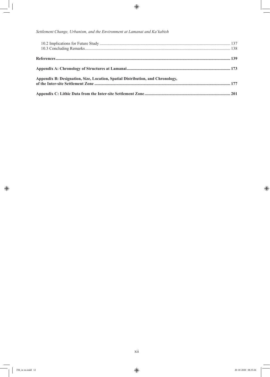$\bigoplus$ 

*Settlement Change, Urbanism, and the Environment at Lamanai and Ka'kabish*

 $\bigcirc$ 

xii

 $\bigoplus$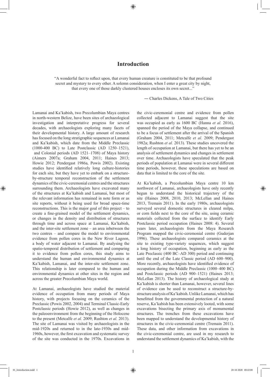## **Introduction**

⊕

"A wonderful fact to reflect upon, that every human creature is constituted to be that profound secret and mystery to every other. A solemn consideration, when I enter a great city by night, that every one of those darkly clustered houses encloses its own secret..."

― Charles Dickens, A Tale of Two Cities

Lamanai and Ka'kabish, two Precolumbian Maya centres in north-western Belize, have been sites of archaeological investigation and interpretative progress for several decades, with archaeologists exploring many facets of their developmental history. A large amount of research has focused on the long stratigraphic sequences at Lamanai and Ka'kabish, which date from the Middle Preclassic (1000-400 BC) to Late Postclassic (AD 1250–1521), and Colonial periods (AD 1521–1708) of Maya history (Aimers 2007a; Graham 2004, 2011; Haines 2013; Howie 2012; Pendergast 1986a, Powis 2002). Existing studies have identified relatively long culture-histories for each site, but they have yet to embark on a structureby-structure temporal reconstruction of the settlement dynamics of the civic-ceremonial centres and the structures surrounding them. Archaeologists have excavated many of the structures at Ka'kabish and Lamanai, but most of the relevant information has remained in note form or as site reports, without it being used for broad space-time reconstructions. This is the major goal of this project – to create a fine-grained model of the settlement dynamics, or changes in the density and distribution of structures through time and across space at Lamanai, Ka'kabish, and the inter-site settlement zone – an area inbetween the two centres – and compare the model to environmental evidence from pollen cores in the New River Lagoon, a body of water adjacent to Lamanai. By analysing the spatio-temporal distribution of settlement and comparing it to evidence from pollen cores, this study aims to understand the human and environmental dynamics at Ka'kabish, Lamanai, and the inter-site settlement zone. This relationship is later compared to the human and environmental dynamics at other sites in the region and across the greater Precolumbian Maya world.

At Lamanai, archaeologists have studied the material evidence of occupation from many periods of Maya history, with projects focusing on the ceramics of the Preclassic (Powis 2002, 2004) and Terminal Classic-Early Postclassic periods (Howie 2012), as well as changes in the paleoenvironment from the beginning of the Holocene to the present (Metcalfe *et al.* 2009; Rushton *et al.* 2013). The site of Lamanai was visited by archaeologists in the mid-1920s and returned to in the late-1930s and mid-1960s, however, the first excavation and systematic survey of the site was conducted in the 1970s. Excavations in the civic-ceremonial centre and evidence from pollen collected adjacent to Lamanai suggest that the site was occupied as early as 1600 BC (Hanna *et al.* 2016), spanned the period of the Maya collapse, and continued to be a focus of settlement after the arrival of the Spanish (Graham 2004, 2011; Metcalfe *et al.* 2009; Pendergast 1982a; Rushton *et al.* 2013). These studies uncovered the length of occupation at Lamanai, but there has yet to be an analysis of settlement dynamics and changes in settlement over time. Archaeologists have speculated that the peak periods of population at Lamanai were in several different time periods, however, these speculations are based on data that is limited to the core of the site.

At Ka'kabish, a Precolumbian Maya centre 10 km northwest of Lamanai, archaeologists have only recently begun to understand the historical trajectory of the site (Haines 2008, 2010, 2013; McLellan and Haines 2013, Tremain 2011). In the early 1980s, archaeologists surveyed several domestic structures in cleared milpa, or corn fields next to the core of the site, using ceramic materials collected from the surface to identify Early Postclassic period occupation (Haines 2008: 4). Several years later, archaeologists from the Maya Research Program mapped the civic-ceremonial centre (Guderjan 1996). These archaeologists compared ceramics at the site to existing type-variety sequences, which suggest a long history of occupation, beginning as early as the Late Preclassic (400 BC–AD 300) period and continuing until the end of the Late Classic period (AD 600–900). More recently, archaeologists have identified evidence of occupation during the Middle Preclassic (1000–400 BC) and Postclassic periods (AD 900–1521) (Haines 2013; McLellan 2013). The history of archaeological study at Ka'kabish is shorter than Lamanai, however, several lines of evidence can be used to reconstruct a structure-bystructure analysis of Ka'kabish. Unlike Lamanai, which has benefitted from the governmental protection of a natural reserve, Ka'kabish has been extensively looted, with some excavations bisecting the primary axis of monumental structures. The trenches from these excavations have been mapped to understand the developmental history of structures in the civic-ceremonial centre (Tremain 2011). These data, and other information from excavations in the civic-ceremonial centre, are used in my research to understand the settlement dynamics of Ka'kabish, with the

⊕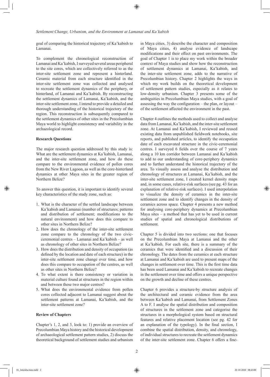⊕

goal of comparing the historical trajectory of Ka'kabish to Lamanai.

To complement the chronological reconstruction of Lamanai and Ka'kabish, I surveyed several areas peripheral to the site cores, which are collectively referred to as the inter-site settlement zone and represent a hinterland. Ceramic material from each structure identified in the inter-site settlement zone was collected and analysed to recreate the settlement dynamics of the periphery, or hinterland, of Lamanai and Ka'kabish. By reconstructing the settlement dynamics of Lamanai, Ka'kabish, and the inter-site settlement zone, I intend to provide a detailed and thorough understanding of the historical trajectory of the region. This reconstruction is subsequently compared to the settlement dynamics of other sites in the Precolumbian Maya world to highlight consistency and variability in the archaeological record.

#### **Research Questions**

◈

The major research question addressed by this study is: What are the settlement dynamics at Ka'kabish, Lamanai, and the inter-site settlement zone, and how do these compare to the environmental evidence of pollen cores from the New River Lagoon, as well as the core-hinterland dynamics at other Maya sites in the greater region of Northern Belize?

To answer this question, it is important to identify several key characteristics of the study zone, such as:

- 1. What is the character of the settled landscape between Ka'kabish and Lamanai (number of structures; patterns and distribution of settlement; modifications to the natural environment) and how does this compare to other sites in Northern Belize?
- 2. How does the chronology of the inter-site settlement zone compare to the chronology of the two civicceremonial centres – Lamanai and Ka'kabish – as well as chronology of other sites in Northern Belize?
- 3. How does the distribution and density of occupation (as defined by the location and date of each structure) in the inter-site settlement zone change over time, and how does this compare to occupation of the centres, as well as other sites in Northern Belize?
- 4. To what extent is there consistency or variation in material culture found at structures in the region within and between these two major centres?
- 5. What does the environmental evidence from pollen cores collected adjacent to Lamanai suggest about the settlement patterns at Lamanai, Ka'kabish, and the inter-site settlement zone?

#### **Review of Chapters**

Chapter's 1, 2, and 3, look to: 1) provide an overview of Precolumbian Maya history and the historical development of archaeological settlement pattern studies, 2) discuss the theoretical background of settlement studies and urbanism

in Maya cities, 3) describe the character and composition of Maya cities, 4) analyse evidence of landscape modifications and their effect on past environments. The goal of Chapter 1 is to place my work within the broader context of Maya studies and show how the reconstruction of settlement dynamics at Lamanai, Ka'kabish, and the inter-site settlement zone, adds to the narrative of Precolumbian history. Chapter 2 highlights the ways in which my work builds on the theoretical development of settlement pattern studies, especially as it relates to low-density urbanism. Chapter 3 presents some of the ambiguities in Precolumbian Maya studies, with a goal of assessing the way the configuration – the plan, or layout – of the settlement affected the environment in the past.

Chapter 4 outlines the methods used to collect and analyse data from Lamanai, Ka'kabish, and the inter-site settlement zone. At Lamanai and Ka'kabish, I reviewed and reused existing data from unpublished fieldwork notebooks, site reports, and published articles, to identify the occupation date of each excavated structure in the civic-ceremonial centres. I surveyed 6 fields over the course of 7 years along a 10 km corridor between Lamanai and Ka'kabish to add to our understanding of core-periphery dynamics and to further understand the historical trajectory of the area. To visually assess and analyse the distribution and chronology of structures at Lamanai, Ka'kabish, and the inter-site settlement zone, I created kernel density maps and, in some cases, relative-risk surfaces (see pg. 43 for an explanation of relative-risk surfaces). I used interpolation to visualize the density of ceramics in the inter-site settlement zone and to identify changes in the density of ceramics across space. Chapter 4 presents a new method for analysing core-periphery dynamics at Precolumbian Maya sites – a method that has yet to be used in current studies of spatial and chronological distributions of settlement.

Chapter 5 is divided into two sections: one that focuses on the Precolumbian Maya at Lamanai and the other at Ka'kabish. For each site, there is a summary of the ceramics that were identified and a discussion of their chronology. The dates from the ceramics at each structure at Lamanai and Ka'kabish are used to present maps of the changes in settlement over time. This is the first time data has been used Lamanai and Ka'kabish to recreate changes in the settlement over time and offers a unique perspective on the growth and decline of these centres.

Chapter 6 provides a structure-by structure analysis of the architectural and ceramic evidence from the area between Ka'kabish and Lamanai, from Settlement Zones A to F. I analyse the spatial distribution and composition of structures in the settlement zone and categorise the structures in a morphological system based on structural features and relative placement location (see pg. 42 for an explanation of the typology). In the final section, I combine the spatial distribution, density, and chronology, of individual structures to recreate the settlement dynamics of the inter-site settlement zone. Chapter 6 offers a fine-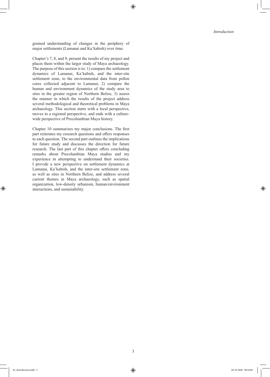*Introduction*

grained understanding of changes in the periphery of major settlements (Lamanai and Ka'kabish) over time.

 $\bigoplus$ 

Chapter's 7, 8, and 9, present the results of my project and places them within the larger study of Maya archaeology. The purpose of this section is to: 1) compare the settlement dynamics of Lamanai, Ka'kabish, and the inter-site settlement zone, to the environmental data from pollen cores collected adjacent to Lamanai, 2) compare the human and environment dynamics of the study area to sites in the greater region of Northern Belize, 3) assess the manner in which the results of the project address several methodological and theoretical problems in Maya archaeology. This section starts with a local perspective, moves to a regional perspective, and ends with a culturewide perspective of Precolumbian Maya history.

Chapter 10 summarizes my major conclusions. The first part reiterates my research questions and offers responses to each question. The second part outlines the implications for future study and discusses the direction for future research. The last part of this chapter offers concluding remarks about Precolumbian Maya studies and my experience in attempting to understand their societies. I provide a new perspective on settlement dynamics at Lamanai, Ka'kabish, and the inter-site settlement zone, as well as sites in Northern Belize, and address several current themes in Maya archaeology, such as spatial organization, low-density urbanism, human/environment interactions, and sustainability.

◈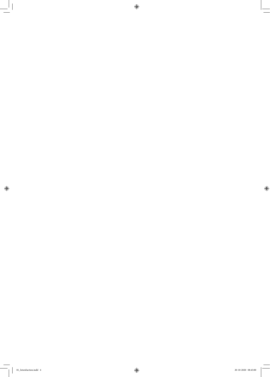